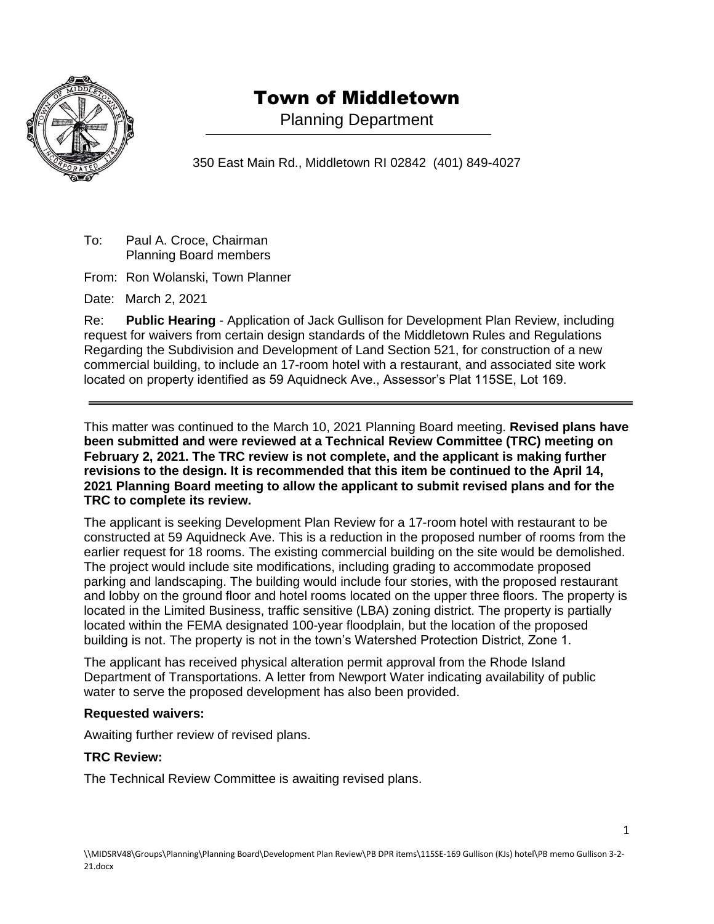

## Town of Middletown

Planning Department

350 East Main Rd., Middletown RI 02842 (401) 849-4027

To: Paul A. Croce, Chairman Planning Board members

From: Ron Wolanski, Town Planner

Date: March 2, 2021

Re: **Public Hearing** - Application of Jack Gullison for Development Plan Review, including request for waivers from certain design standards of the Middletown Rules and Regulations Regarding the Subdivision and Development of Land Section 521, for construction of a new commercial building, to include an 17-room hotel with a restaurant, and associated site work located on property identified as 59 Aquidneck Ave., Assessor's Plat 115SE, Lot 169.

This matter was continued to the March 10, 2021 Planning Board meeting. **Revised plans have been submitted and were reviewed at a Technical Review Committee (TRC) meeting on February 2, 2021. The TRC review is not complete, and the applicant is making further revisions to the design. It is recommended that this item be continued to the April 14, 2021 Planning Board meeting to allow the applicant to submit revised plans and for the TRC to complete its review.**

The applicant is seeking Development Plan Review for a 17-room hotel with restaurant to be constructed at 59 Aquidneck Ave. This is a reduction in the proposed number of rooms from the earlier request for 18 rooms. The existing commercial building on the site would be demolished. The project would include site modifications, including grading to accommodate proposed parking and landscaping. The building would include four stories, with the proposed restaurant and lobby on the ground floor and hotel rooms located on the upper three floors. The property is located in the Limited Business, traffic sensitive (LBA) zoning district. The property is partially located within the FEMA designated 100-year floodplain, but the location of the proposed building is not. The property is not in the town's Watershed Protection District, Zone 1.

The applicant has received physical alteration permit approval from the Rhode Island Department of Transportations. A letter from Newport Water indicating availability of public water to serve the proposed development has also been provided.

## **Requested waivers:**

Awaiting further review of revised plans.

## **TRC Review:**

The Technical Review Committee is awaiting revised plans.